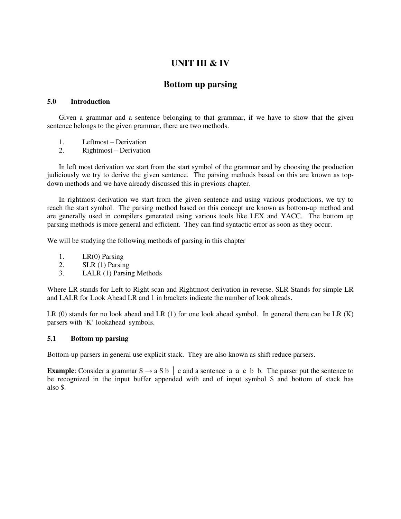# **UNIT III & IV**

# **Bottom up parsing**

### **5.0 Introduction**

Given a grammar and a sentence belonging to that grammar, if we have to show that the given sentence belongs to the given grammar, there are two methods.

- 1. Leftmost Derivation
- 2. Rightmost Derivation

In left most derivation we start from the start symbol of the grammar and by choosing the production judiciously we try to derive the given sentence. The parsing methods based on this are known as topdown methods and we have already discussed this in previous chapter.

In rightmost derivation we start from the given sentence and using various productions, we try to reach the start symbol. The parsing method based on this concept are known as bottom-up method and are generally used in compilers generated using various tools like LEX and YACC. The bottom up parsing methods is more general and efficient. They can find syntactic error as soon as they occur.

We will be studying the following methods of parsing in this chapter

- 1. LR(0) Parsing
- 2. SLR (1) Parsing
- 3. LALR (1) Parsing Methods

Where LR stands for Left to Right scan and Rightmost derivation in reverse. SLR Stands for simple LR and LALR for Look Ahead LR and 1 in brackets indicate the number of look aheads.

LR  $(0)$  stands for no look ahead and LR  $(1)$  for one look ahead symbol. In general there can be LR  $(K)$ parsers with 'K' lookahead symbols.

### **5.1 Bottom up parsing**

Bottom-up parsers in general use explicit stack. They are also known as shift reduce parsers.

**Example**: Consider a grammar  $S \rightarrow a S b$  | c and a sentence a a c b b. The parser put the sentence to be recognized in the input buffer appended with end of input symbol \$ and bottom of stack has also \$.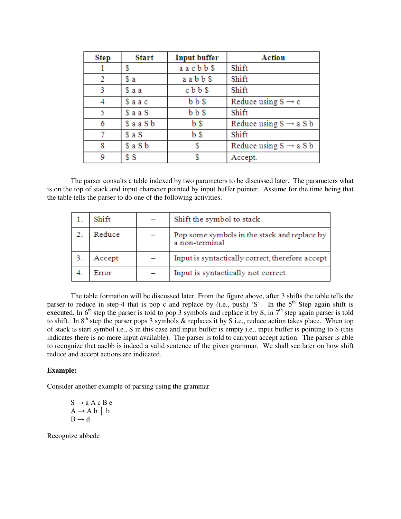| Step | <b>Start</b> | <b>Input buffer</b> | Action                             |
|------|--------------|---------------------|------------------------------------|
|      | S            | aacbb\$             | Shift                              |
| 2    | \$а          | aabb\$              | Shift                              |
| 3    | \$aa         | cbb\$               | Shift                              |
| 4    | \$aac        | $b\,b\,s$           | Reduce using $S \rightarrow c$     |
| 5    | \$aa S       | $b\,b\,s$           | Shift                              |
| 6    | \$aa Sb      | b \$                | Reduce using $S \rightarrow a S b$ |
| 7    | \$a S        | b \$                | Shift                              |
| 8    | \$a S b      | S                   | Reduce using $S \rightarrow a S b$ |
| 9    | \$S          |                     | Accept.                            |

The parser consults a table indexed by two parameters to be discussed later. The parameters what is on the top of stack and input character pointed by input buffer pointer. Assume for the time being that the table tells the parser to do one of the following activities.

| Shift  | Shift the symbol to stack                                      |
|--------|----------------------------------------------------------------|
| Reduce | Pop some symbols in the stack and replace by<br>a non-terminal |
| Accept | Input is syntactically correct, therefore accept               |
| Error  | Input is syntactically not correct.                            |

The table formation will be discussed later. From the figure above, after 3 shifts the table tells the parser to reduce in step-4 that is pop c and replace by (i.e., push) 'S'. In the  $5<sup>th</sup>$  Step again shift is executed. In  $6<sup>th</sup>$  step the parser is told to pop 3 symbols and replace it by S, in  $7<sup>th</sup>$  step again parser is told to shift. In  $8<sup>th</sup>$  step the parser pops 3 symbols & replaces it by S i.e., reduce action takes place. When top of stack is start symbol i.e., S in this case and input buffer is empty i.e., input buffer is pointing to \$ (this indicates there is no more input available). The parser is told to carryout accept action. The parser is able to recognize that aacbb is indeed a valid sentence of the given grammar. We shall see later on how shift reduce and accept actions are indicated.

#### **Example:**

Consider another example of parsing using the grammar

 $S \rightarrow a A c B e$  $A \rightarrow A b \mid b$  $B \rightarrow d$ 

Recognize abbcde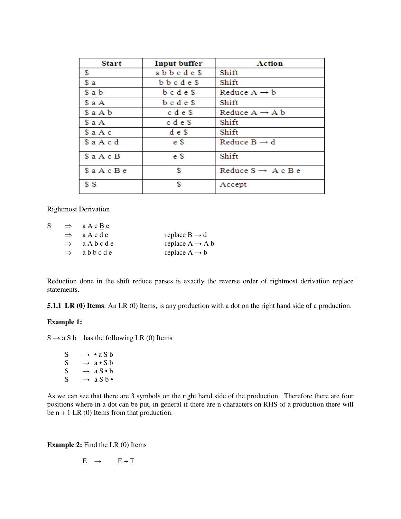| <b>Start</b> | <b>Input buffer</b> | Action                         |
|--------------|---------------------|--------------------------------|
| \$           | abbcde\$            | Shift                          |
| \$a          | bbcde\$             | Shift                          |
| \$ a b       | $b$ c $d$ e $s$     | Reduce $A \rightarrow b$       |
| \$a A        | $b$ c d e $$$       | Shift                          |
| $s$ a A $b$  | c d e \$            | Reduce $A \rightarrow A b$     |
| \$ a A       | c d e \$            | Shift                          |
| \$aAc        | d e \$              | Shift                          |
| Sa A c d     | e \$                | Reduce $B \rightarrow d$       |
| $s$ a A c B  | e \$                | Shift                          |
| Sa A c B e   | \$                  | Reduce $S \rightarrow A c B e$ |
| S S          | \$                  | Accept                         |

Rightmost Derivation

| S | $\Rightarrow$ a A c <u>B</u> e |                             |
|---|--------------------------------|-----------------------------|
|   | $\Rightarrow$ a A c d e        | replace $B \rightarrow d$   |
|   | $\Rightarrow$ a A b c d e      | replace $A \rightarrow A b$ |
|   | $\Rightarrow$ abbcde           | replace $A \rightarrow b$   |

Reduction done in the shift reduce parses is exactly the reverse order of rightmost derivation replace statements.

**5.1.1 LR (0) Items:** An LR (0) Items, is any production with a dot on the right hand side of a production.

### **Example 1:**

 $S \rightarrow a S b$  has the following LR (0) Items

 $S \rightarrow \cdot a S b$  $S \rightarrow a \cdot S b$ S  $\rightarrow a S \cdot b$  $S \rightarrow a S b \bullet$ 

As we can see that there are 3 symbols on the right hand side of the production. Therefore there are four positions where in a dot can be put, in general if there are n characters on RHS of a production there will be  $n + 1$  LR (0) Items from that production.

**Example 2:** Find the LR (0) Items

$$
E \rightarrow E + T
$$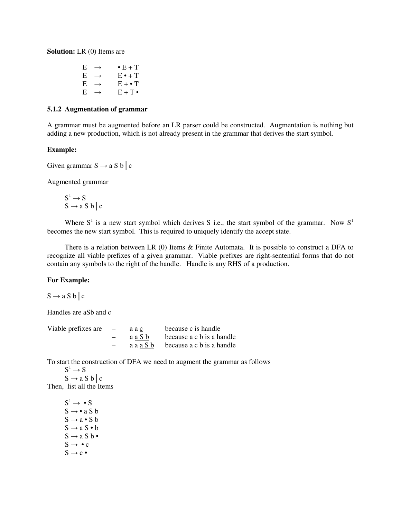**Solution:** LR (0) Items are

| E | $\rightarrow$ | $\bullet$ E + T |
|---|---------------|-----------------|
| E | $\rightarrow$ | $E \cdot + T$   |
| E | $\rightarrow$ | $E + \cdot T$   |
| E | $\rightarrow$ | $E + T$         |

#### **5.1.2 Augmentation of grammar**

A grammar must be augmented before an LR parser could be constructed. Augmentation is nothing but adding a new production, which is not already present in the grammar that derives the start symbol.

### **Example:**

Given grammar  $S \rightarrow a S b \, c$ 

Augmented grammar

$$
S^1 \rightarrow S S \rightarrow a S b \mid c
$$

Where  $S^1$  is a new start symbol which derives S i.e., the start symbol of the grammar. Now  $S^1$ becomes the new start symbol. This is required to uniquely identify the accept state.

 There is a relation between LR (0) Items & Finite Automata. It is possible to construct a DFA to recognize all viable prefixes of a given grammar. Viable prefixes are right-sentential forms that do not contain any symbols to the right of the handle. Handle is any RHS of a production.

#### **For Example:**

 $S \rightarrow a S b \, c$ 

Handles are aSb and c

| Viable prefixes are $-$ |                          | aac    | because c is handle                                         |
|-------------------------|--------------------------|--------|-------------------------------------------------------------|
|                         | $\overline{\phantom{0}}$ | aa S b | because a c b is a handle                                   |
|                         |                          |        | $a \cdot a \cdot a \cdot b$ because $a \cdot b$ is a handle |

To start the construction of DFA we need to augment the grammar as follows

 $S^1 \rightarrow S$  $S \rightarrow a S b \, c$ 

Then, list all the Items

 $S^1 \rightarrow \bullet S$  $S \rightarrow \bullet a S b$  $S \rightarrow a \bullet S$  b  $S \rightarrow a S \cdot b$  $S \rightarrow a S b$  $S \rightarrow \bullet c$  $S \rightarrow c$  •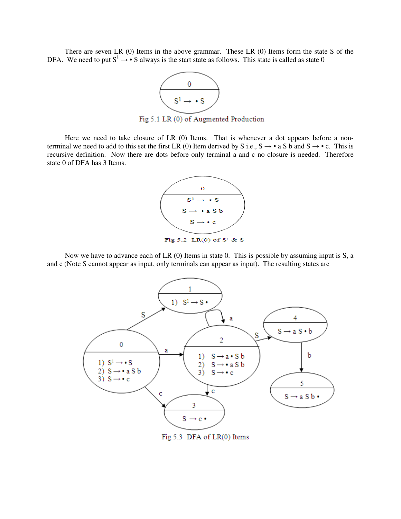There are seven LR (0) Items in the above grammar. These LR (0) Items form the state S of the DFA. We need to put  $S^1 \rightarrow \bullet S$  always is the start state as follows. This state is called as state 0



Fig 5.1 LR (0) of Augmented Production

Here we need to take closure of LR (0) Items. That is whenever a dot appears before a nonterminal we need to add to this set the first LR (0) Item derived by S i.e.,  $S \rightarrow \bullet$  a S b and  $S \rightarrow \bullet$  c. This is recursive definition. Now there are dots before only terminal a and c no closure is needed. Therefore state 0 of DFA has 3 Items.



 Now we have to advance each of LR (0) Items in state 0. This is possible by assuming input is S, a and c (Note S cannot appear as input, only terminals can appear as input). The resulting states are

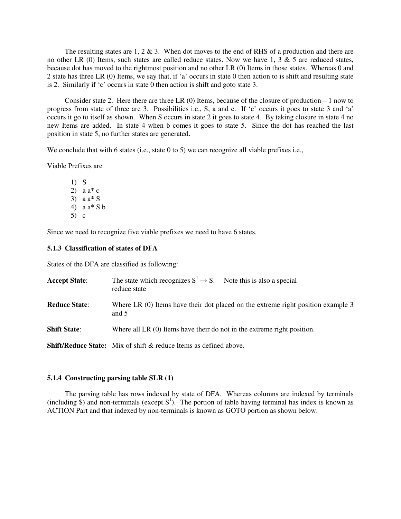The resulting states are 1, 2  $\&$  3. When dot moves to the end of RHS of a production and there are no other LR (0) Items, such states are called reduce states. Now we have 1, 3  $\&$  5 are reduced states, because dot has moved to the rightmost position and no other LR (0) Items in those states. Whereas 0 and 2 state has three LR (0) Items, we say that, if 'a' occurs in state 0 then action to is shift and resulting state is 2. Similarly if 'c' occurs in state 0 then action is shift and goto state 3.

Consider state 2. Here there are three LR  $(0)$  Items, because of the closure of production  $-1$  now to progress from state of three are 3. Possibilities i.e., S, a and c. If 'c' occurs it goes to state 3 and 'a' occurs it go to itself as shown. When S occurs in state 2 it goes to state 4. By taking closure in state 4 no new Items are added. In state 4 when b comes it goes to state 5. Since the dot has reached the last position in state 5, no further states are generated.

We conclude that with 6 states (i.e., state 0 to 5) we can recognize all viable prefixes i.e.,

Viable Prefixes are

1) S 2)  $a \cdot a^* c$ 3) a a\* S 4) a a\* S b 5) c

Since we need to recognize five viable prefixes we need to have 6 states.

### **5.1.3 Classification of states of DFA**

States of the DFA are classified as following:

| <b>Accept State:</b> | The state which recognizes $S^1 \rightarrow S$ . Note this is also a special<br>reduce state |
|----------------------|----------------------------------------------------------------------------------------------|
| <b>Reduce State:</b> | Where LR (0) Items have their dot placed on the extreme right position example 3<br>and $5$  |
| <b>Shift State:</b>  | Where all LR $(0)$ Items have their do not in the extreme right position.                    |
|                      | <b>Shift/Reduce State:</b> Mix of shift & reduce Items as defined above.                     |

### **5.1.4 Constructing parsing table SLR (1)**

 The parsing table has rows indexed by state of DFA. Whereas columns are indexed by terminals (including  $\hat{s}$ ) and non-terminals (except  $S^1$ ). The portion of table having terminal has index is known as ACTION Part and that indexed by non-terminals is known as GOTO portion as shown below.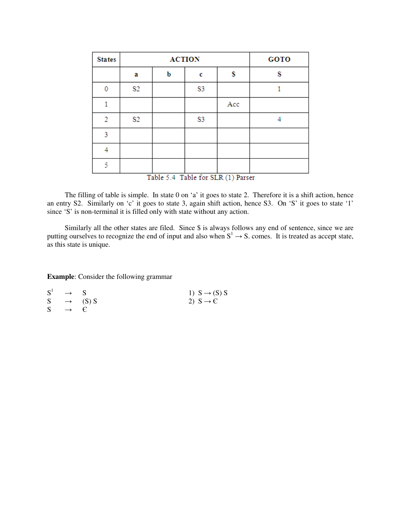| <b>States</b>  |                                    | <b>ACTION</b> | <b>GOTO</b> |     |   |  |  |
|----------------|------------------------------------|---------------|-------------|-----|---|--|--|
|                | a                                  | b             | c           | s   | S |  |  |
| $\Omega$       | S <sub>2</sub>                     |               | S3          |     |   |  |  |
|                |                                    |               |             | Acc |   |  |  |
| $\overline{2}$ | S2                                 |               | S3          |     | 4 |  |  |
| 3              |                                    |               |             |     |   |  |  |
| 4              |                                    |               |             |     |   |  |  |
| 5              |                                    |               |             |     |   |  |  |
|                | Table 5.4 Table for SLR (1) Parser |               |             |     |   |  |  |

The filling of table is simple. In state 0 on 'a' it goes to state 2. Therefore it is a shift action, hence an entry S2. Similarly on 'c' it goes to state 3, again shift action, hence S3. On 'S' it goes to state '1' since 'S' is non-terminal it is filled only with state without any action.

Similarly all the other states are filed. Since \$ is always follows any end of sentence, since we are putting ourselves to recognize the end of input and also when  $S^1 \rightarrow S$ . comes. It is treated as accept state, as this state is unique.

**Example**: Consider the following grammar

|    | $S^1 \rightarrow S$ |                       | 1) $S \rightarrow (S) S$ |
|----|---------------------|-----------------------|--------------------------|
|    |                     | $S \rightarrow (S) S$ | 2) $S \rightarrow C$     |
| S. | $\rightarrow$ $\in$ |                       |                          |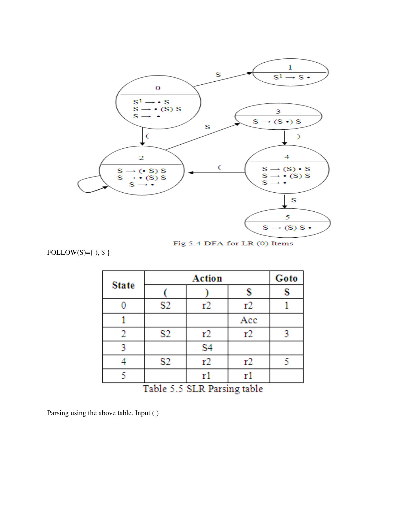

Fig 5.4 DFA for LR (0) Items

FOLLOW(S)={ ),  $\$  }

|              |                   | Goto           |                                           |   |
|--------------|-------------------|----------------|-------------------------------------------|---|
| <b>State</b> |                   |                | \$                                        | S |
| 0            | S2                | r2             | r2                                        |   |
|              |                   |                | Acc                                       |   |
| 2            | S2                | r2             | r2                                        | 3 |
| 3            |                   | S <sub>4</sub> |                                           |   |
| 4            | S2                | r2             | r2                                        | 5 |
| Ŋ            | <b>CONTRACTOR</b> | r٦             | r1<br><b>COLLECT</b><br><b>CONTRACTOR</b> |   |

Table 5.5 SLR Parsing table

Parsing using the above table. Input ( )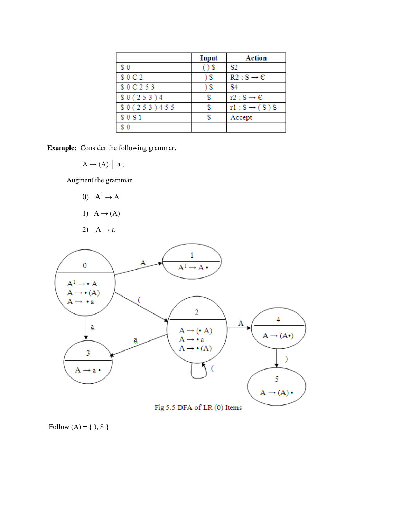|                   | Input | Action                    |
|-------------------|-------|---------------------------|
| \$0               |       | S2                        |
| \$0C <sub>2</sub> | S     | $R2: S \rightarrow C$     |
| \$0C253           | \$    | S4                        |
| \$0(253)4         |       | $r2 : S \rightarrow E$    |
| \$0(253)455       |       | $r1: S \rightarrow (S) S$ |
| \$0S1             |       | Accept                    |
| \$0               |       |                           |

**Example:** Consider the following grammar.

$$
A \rightarrow (A) \mid a,
$$

Augment the grammar

- 0)  $A^1 \rightarrow A$
- 1)  $A \rightarrow (A)$
- 2)  $A \rightarrow a$



Fig 5.5 DFA of LR (0) Items

Follow  $(A) = \{ , $ }$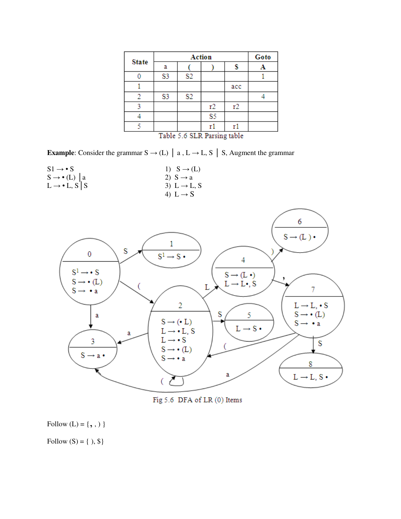| <b>State</b> |                | Goto           |                |     |  |
|--------------|----------------|----------------|----------------|-----|--|
|              | a              |                |                |     |  |
|              | S <sub>3</sub> | S <sub>2</sub> |                |     |  |
|              |                |                |                | acc |  |
| 2            | S <sub>3</sub> | S <sub>2</sub> |                |     |  |
|              |                |                | r2             | r2  |  |
|              |                |                | S <sub>5</sub> |     |  |
|              | . .            |                |                | . . |  |

|  | Table 5.6 SLR Parsing table |  |  |
|--|-----------------------------|--|--|
|  |                             |  |  |

**Example**: Consider the grammar  $S \rightarrow (L)$  | a,  $L \rightarrow L$ , S | S, Augment the grammar

| $S1 \rightarrow \bullet S$      | 1) $S \rightarrow (L)$   |
|---------------------------------|--------------------------|
| $S \rightarrow \bullet$ (L)   a | 2) $S \rightarrow a$     |
| $L \rightarrow \bullet L, S$ S  | 3) $L \rightarrow L$ , S |
|                                 | 4) L $\rightarrow$ S     |



Fig 5.6 DFA of LR (0) Items

Follow  $(\mathrm{L})=\{\,,\,,\,)\,\}$ 

Follow  $(S) = \{ , \$\}$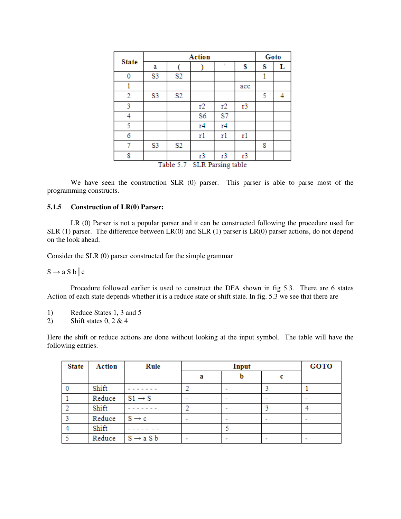|                                | Action |                |    |                |     | Goto |                |
|--------------------------------|--------|----------------|----|----------------|-----|------|----------------|
| <b>State</b>                   | a      |                |    | ٠              | S   | s    | L              |
| 0                              | S3     | S2             |    |                |     | 1    |                |
| 1                              |        |                |    |                | acc |      |                |
| 2                              | S3     | S2             |    |                |     | 5    | $\overline{4}$ |
| 3                              |        |                | r2 | r2             | r3  |      |                |
| 4                              |        |                | S6 | S7             |     |      |                |
| 5                              |        |                | r4 | r <sub>4</sub> |     |      |                |
| 6                              |        |                | r1 | r1             | r1  |      |                |
| 7                              | S3     | S <sub>2</sub> |    |                |     | 8    |                |
| 8                              |        |                | r3 | r3             | r3  |      |                |
| SLR Parsing table<br>Table 5.7 |        |                |    |                |     |      |                |

We have seen the construction SLR (0) parser. This parser is able to parse most of the programming constructs.

### **5.1.5 Construction of LR(0) Parser:**

LR (0) Parser is not a popular parser and it can be constructed following the procedure used for SLR (1) parser. The difference between LR(0) and SLR (1) parser is LR(0) parser actions, do not depend on the look ahead.

Consider the SLR (0) parser constructed for the simple grammar

 $S \rightarrow a S b \vert c$ 

Procedure followed earlier is used to construct the DFA shown in fig 5.3. There are 6 states Action of each state depends whether it is a reduce state or shift state. In fig. 5.3 we see that there are

- 1) Reduce States 1, 3 and 5
- 2) Shift states  $0, 2 \& 4$

Here the shift or reduce actions are done without looking at the input symbol. The table will have the following entries.

| <b>State</b> | Action | <b>Rule</b>           |   | Input |  |                          |
|--------------|--------|-----------------------|---|-------|--|--------------------------|
|              |        |                       | а | b     |  |                          |
|              | Shift  |                       |   |       |  |                          |
|              | Reduce | $SI \rightarrow S$    |   |       |  | $\overline{\phantom{0}}$ |
|              | Shift  |                       |   |       |  |                          |
|              | Reduce | $S \rightarrow c$     |   |       |  | $\blacksquare$           |
|              | Shift  |                       |   |       |  |                          |
|              | Reduce | $S \rightarrow a S b$ |   | -     |  |                          |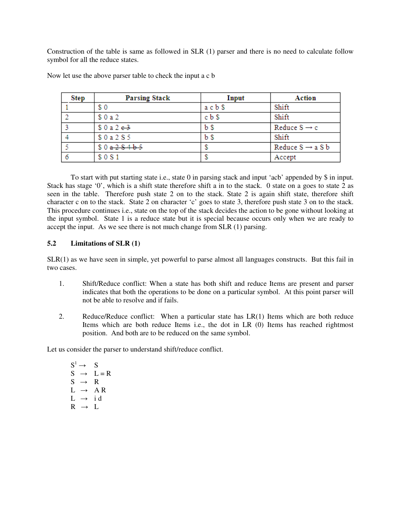Construction of the table is same as followed in SLR (1) parser and there is no need to calculate follow symbol for all the reduce states.

| <b>Step</b> | <b>Parsing Stack</b> | Input          | <b>Action</b>                |
|-------------|----------------------|----------------|------------------------------|
|             | \$0                  | acbs           | Shift                        |
|             | \$0a2                | c <sub>b</sub> | Shift                        |
|             | \$0a2e3              | $b$ \$         | Reduce $S \rightarrow c$     |
|             | \$0a2S5              | b \$           | Shift                        |
|             | \$0a2S4b5            |                | Reduce $S \rightarrow a S b$ |
|             | \$0S1                |                | Accept                       |

Now let use the above parser table to check the input a c b

To start with put starting state i.e., state 0 in parsing stack and input 'acb' appended by \$ in input. Stack has stage '0', which is a shift state therefore shift a in to the stack. 0 state on a goes to state 2 as seen in the table. Therefore push state 2 on to the stack. State 2 is again shift state, therefore shift character c on to the stack. State 2 on character 'c' goes to state 3, therefore push state 3 on to the stack. This procedure continues i.e., state on the top of the stack decides the action to be gone without looking at the input symbol. State 1 is a reduce state but it is special because occurs only when we are ready to accept the input. As we see there is not much change from SLR (1) parsing.

# **5.2 Limitations of SLR (1)**

SLR(1) as we have seen in simple, yet powerful to parse almost all languages constructs. But this fail in two cases.

- 1. Shift/Reduce conflict: When a state has both shift and reduce Items are present and parser indicates that both the operations to be done on a particular symbol. At this point parser will not be able to resolve and if fails.
- 2. Reduce/Reduce conflict: When a particular state has LR(1) Items which are both reduce Items which are both reduce Items i.e., the dot in LR (0) Items has reached rightmost position. And both are to be reduced on the same symbol.

Let us consider the parser to understand shift/reduce conflict.

 $S^1 \rightarrow S$  $S \rightarrow L = R$  $S \rightarrow R$  $L \rightarrow AR$  $L \rightarrow id$  $R \rightarrow L$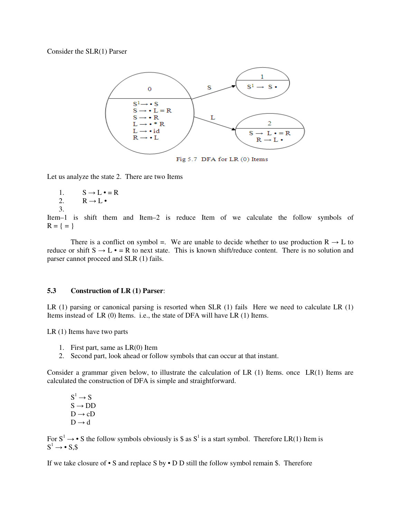Consider the SLR(1) Parser



Let us analyze the state 2. There are two Items

- 1.  $S \rightarrow L \cdot = R$
- 2.  $R \rightarrow L$
- 3.

Item–1 is shift them and Item–2 is reduce Item of we calculate the follow symbols of  $R = \{ = \}$ 

There is a conflict on symbol =. We are unable to decide whether to use production  $R \rightarrow L$  to reduce or shift  $S \to L \bullet = R$  to next state. This is known shift/reduce content. There is no solution and parser cannot proceed and SLR (1) fails.

#### **5.3 Construction of LR (1) Parser**:

LR (1) parsing or canonical parsing is resorted when SLR (1) fails Here we need to calculate LR (1) Items instead of LR (0) Items. i.e., the state of DFA will have LR (1) Items.

LR (1) Items have two parts

- 1. First part, same as LR(0) Item
- 2. Second part, look ahead or follow symbols that can occur at that instant.

Consider a grammar given below, to illustrate the calculation of LR  $(1)$  Items. once LR $(1)$  Items are calculated the construction of DFA is simple and straightforward.

 $S^1 \rightarrow S$  $S \rightarrow DD$  $D \rightarrow cD$  $D \rightarrow d$ 

For  $S^1 \rightarrow \bullet S$  the follow symbols obviously is \$ as  $S^1$  is a start symbol. Therefore LR(1) Item is  $S^1 \rightarrow \bullet S$ , \$

If we take closure of • S and replace S by • D D still the follow symbol remain \$. Therefore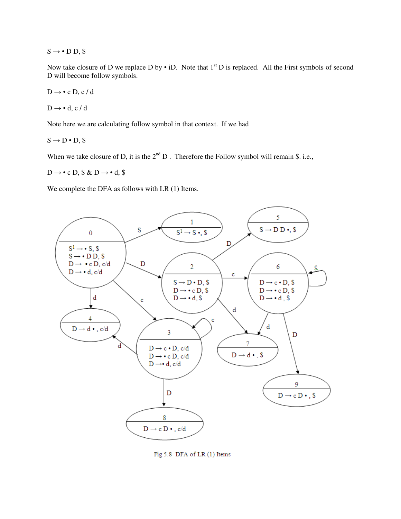$S \rightarrow \bullet D D$ , \$

Now take closure of D we replace D by  $\cdot$  iD. Note that  $1^{st}$  D is replaced. All the First symbols of second D will become follow symbols.

$$
D\to\bullet\ c\ D,\,c\ /\ d
$$

$$
D\to\bullet~d,~c~/~d
$$

Note here we are calculating follow symbol in that context. If we had

 $S \rightarrow D \cdot D$ , \$

When we take closure of D, it is the  $2<sup>nd</sup> D$ . Therefore the Follow symbol will remain \$. i.e.,

 $D \rightarrow \bullet c$  D, \$ & D  $\rightarrow \bullet d$ , \$

We complete the DFA as follows with LR  $(1)$  Items.



Fig 5.8 DFA of LR (1) Items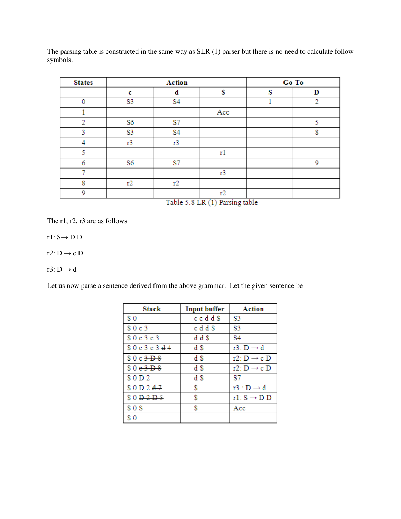The parsing table is constructed in the same way as SLR (1) parser but there is no need to calculate follow symbols.

| <b>States</b> |                | Action         |     |     | Go To |
|---------------|----------------|----------------|-----|-----|-------|
|               | c              | d              | S   | S   | D     |
| $\mathbf 0$   | S3             | S <sub>4</sub> |     |     | 2     |
|               |                |                | Acc |     |       |
| 2             | S6             | S7             |     |     | ς     |
| 3             | S <sub>3</sub> | S <sub>4</sub> |     |     | 8     |
| 4             | r3             | r3             |     |     |       |
| 5             |                |                | r1  |     |       |
| 6             | S6             | S7             |     |     | 9     |
|               |                |                | r3  |     |       |
| 8             | r2             | r2             |     |     |       |
| 9             |                | . .            | r2  | . . |       |

Table 5.8 LR (1) Parsing table

The r1, r2, r3 are as follows

r1:  $S \rightarrow D D$ 

r2: D  $\rightarrow$  c D

r3: D  $\rightarrow$  d

Let us now parse a sentence derived from the above grammar. Let the given sentence be

| <b>Stack</b>                   | <b>Input buffer</b> | Action                  |
|--------------------------------|---------------------|-------------------------|
| \$0                            | ccdd\$              | S3                      |
| \$0c3                          | c d d \$            | S <sub>3</sub>          |
| \$0c3c3                        | d d \$              | S4                      |
| \$0c3c344                      | d \$                | $r3: D \rightarrow d$   |
| \$0c3D8                        | d \$                | r2: $D \rightarrow c$ D |
| \$0e3B8                        | d \$                | r2: $D \rightarrow c$ D |
| \$0D2                          | d \$                | S7                      |
| \$0 D2 d7                      | \$                  | $r3: D \rightarrow d$   |
| $$0\overline{D}2\overline{D}5$ | \$                  | $r1: S \rightarrow D D$ |
| \$0S                           | S                   | Acc                     |
| s o                            |                     |                         |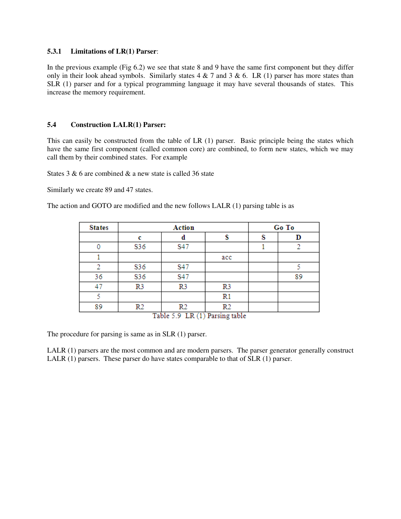### **5.3.1 Limitations of LR(1) Parser**:

In the previous example (Fig 6.2) we see that state 8 and 9 have the same first component but they differ only in their look ahead symbols. Similarly states  $4 \& 7$  and  $3 \& 6$ . LR (1) parser has more states than SLR (1) parser and for a typical programming language it may have several thousands of states. This increase the memory requirement.

### **5.4 Construction LALR(1) Parser:**

This can easily be constructed from the table of LR (1) parser. Basic principle being the states which have the same first component (called common core) are combined, to form new states, which we may call them by their combined states. For example

States 3 & 6 are combined & a new state is called 36 state

Similarly we create 89 and 47 states.

The action and GOTO are modified and the new follows LALR (1) parsing table is as

| <b>States</b> |                | <b>Action</b>                      |                |  | Go To |
|---------------|----------------|------------------------------------|----------------|--|-------|
|               |                | a                                  |                |  | D     |
| 0             | S36            | S47                                |                |  |       |
|               |                |                                    | acc            |  |       |
| 2             | S36            | S47                                |                |  |       |
| 36            | S36            | S47                                |                |  | 89    |
| 47            | R <sub>3</sub> | R <sub>3</sub>                     | R <sub>3</sub> |  |       |
| ς             |                |                                    | $_{\rm R1}$    |  |       |
| 89            | R2             | R2                                 | R2             |  |       |
|               |                | Table 69.1D (1) <b>Dervinethia</b> |                |  |       |

Table 5.9 LR (1) Parsing table

The procedure for parsing is same as in SLR (1) parser.

LALR (1) parsers are the most common and are modern parsers. The parser generator generally construct LALR (1) parsers. These parser do have states comparable to that of SLR (1) parser.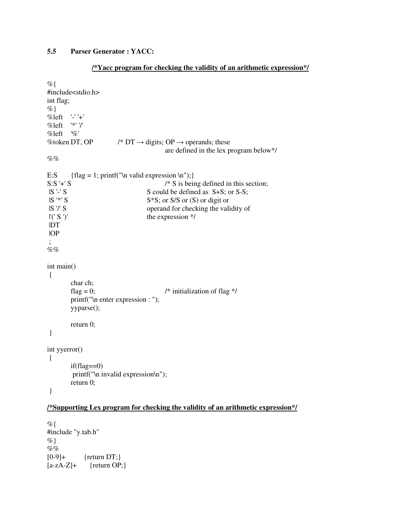# **5.5 Parser Generator : YACC:**

#### **/\*Yacc program for checking the validity of an arithmetic expression\*/**

```
%#include<stdio.h> 
int flag; 
\%%left '-' '+' 
%left '*' '/' 
%left '%' 
%token DT, OP /^* DT \rightarrow digits; OP \rightarrow operands; these
                                               are defined in the lex program below*/ 
\%%
E:S {flag = 1; print(''\n valid expression \n'\n'');}S:S '+' S \frac{1}{15} \cdots \frac{\si}$ \frac{\si}$ \frac{\si}$ \frac{\si}$ \frac{\si}$ \frac{\si}$ \frac{\si}$ \frac{\si}$ \frac{\si}$ \frac{\si}$ \frac{\si}$ \frac{\si}$ \frac{\si}$ \frac{\si}$ \frac{\si}$ \frac{\si}$ \
                                        S could be defined as S+S; or S-S;
|S^*S| S<sup>*</sup>S; or S/S or (S) or digit or
 |S '/' S operand for checking the validity of 
\lfloor (\text{'} S')' \rfloor the expression */
 |DT 
 |OP 
 ; 
\%%
int main() 
 { 
          char ch; 
         flag = 0; \frac{1}{2} flag */
          printf("\n enter expression : "); 
          yyparse(); 
          return 0; 
  } 
int yyerror() 
 { 
         if(flag==0) printf("\n invalid expression\n"); 
          return 0; 
  }
```
# **/\*Supporting Lex program for checking the validity of an arithmetic expression\*/**

 $%$ #include "y.tab.h"  $\%$  $\%$ %  $[0-9]+$  {return DT;}  $[a-zA-Z]+$  {return OP;}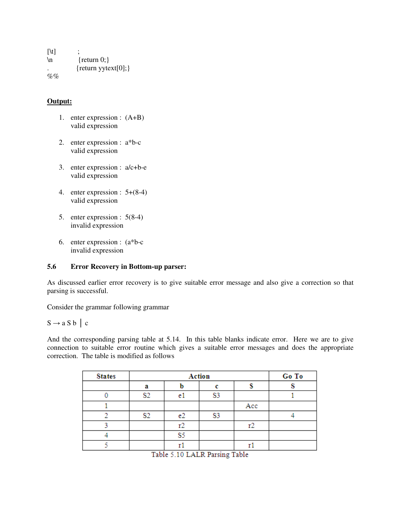$[\lambda t]$  ;  $\ln$  {return 0;}  ${return y \text{ytext}[0];}$  $%$ %

## **Output:**

- 1. enter expression : (A+B) valid expression
- 2. enter expression : a\*b-c valid expression
- 3. enter expression : a/c+b-e valid expression
- 4. enter expression : 5+(8-4) valid expression
- 5. enter expression : 5(8-4) invalid expression
- 6. enter expression : (a\*b-c invalid expression

### **5.6 Error Recovery in Bottom-up parser:**

As discussed earlier error recovery is to give suitable error message and also give a correction so that parsing is successful.

Consider the grammar following grammar

# $S \rightarrow a S b \mid c$

And the corresponding parsing table at 5.14. In this table blanks indicate error. Here we are to give connection to suitable error routine which gives a suitable error messages and does the appropriate correction. The table is modified as follows

| <b>States</b>     |                | Go To          |    |     |  |  |  |  |
|-------------------|----------------|----------------|----|-----|--|--|--|--|
|                   | а              |                |    |     |  |  |  |  |
|                   | S2             | e              | S3 |     |  |  |  |  |
|                   |                |                |    | Acc |  |  |  |  |
|                   | S <sub>2</sub> | e <sub>2</sub> | S3 |     |  |  |  |  |
|                   |                | r2             |    | r2  |  |  |  |  |
|                   |                | S5             |    |     |  |  |  |  |
|                   |                |                |    |     |  |  |  |  |
| - - -<br>.<br>___ |                |                |    |     |  |  |  |  |

Table 5.10 LALR Parsing Table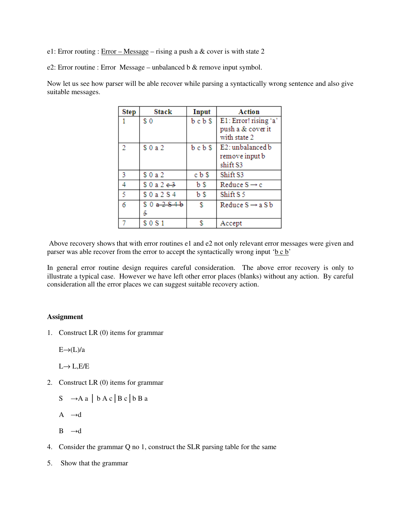e1: Error routing :  $Error - Message - rising$  a push a & cover is with state 2

e2: Error routine : Error Message – unbalanced b & remove input symbol.

Now let us see how parser will be able recover while parsing a syntactically wrong sentence and also give suitable messages.

| <b>Step</b> | <b>Stack</b>         | Input  | Action                                     |
|-------------|----------------------|--------|--------------------------------------------|
|             | \$0                  | bcb\$  | E1: Error! rising 'a'<br>push a & cover it |
|             |                      |        | with state 2                               |
| 2           | \$0a2                | bcb\$  | E2: unbalanced b                           |
|             |                      |        | remove input b                             |
|             |                      |        | shift S3                                   |
| 3           | \$0a2                | c b \$ | Shift S3                                   |
| 4           | \$0a2e3              | b \$   | Reduce $S \rightarrow c$                   |
| 5           | \$0a2S4              | b \$   | Shift S 5                                  |
| 6           | \$0 <del>a2S4b</del> | \$     | Reduce $S \rightarrow a S b$               |
|             | 5                    |        |                                            |
|             | \$0S1                | S      | Accept                                     |

Above recovery shows that with error routines e1 and e2 not only relevant error messages were given and parser was able recover from the error to accept the syntactically wrong input 'b c b'

In general error routine design requires careful consideration. The above error recovery is only to illustrate a typical case. However we have left other error places (blanks) without any action. By careful consideration all the error places we can suggest suitable recovery action.

### **Assignment**

1. Construct LR (0) items for grammar

 $E\rightarrow (L)/a$ 

 $L \rightarrow L$ ,  $E/E$ 

- 2. Construct LR (0) items for grammar
	- $S \rightarrow A a \mid b A c \mid B c \mid b B a$
	- A  $\rightarrow d$
	- $B \rightarrow d$
- 4. Consider the grammar Q no 1, construct the SLR parsing table for the same
- 5. Show that the grammar